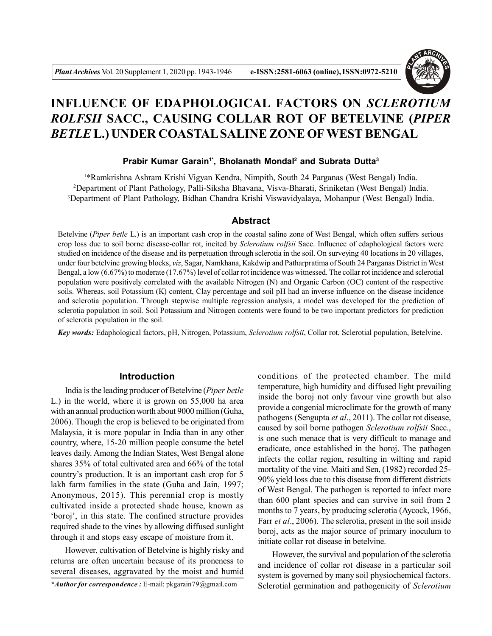

# **INFLUENCE OF EDAPHOLOGICAL FACTORS ON** *SCLEROTIUM ROLFSII* **SACC., CAUSING COLLAR ROT OF BETELVINE (***PIPER BETLE* **L.) UNDER COASTAL SALINE ZONE OFWEST BENGAL**

## **Prabir Kumar Garain1\*, Bholanath Mondal<sup>2</sup> and Subrata Dutta<sup>3</sup>**

<sup>1</sup>\*Ramkrishna Ashram Krishi Vigyan Kendra, Nimpith, South 24 Parganas (West Bengal) India. <sup>2</sup>Department of Plant Pathology, Palli-Siksha Bhavana, Visva-Bharati, Sriniketan (West Bengal) India. <sup>3</sup>Department of Plant Pathology, Bidhan Chandra Krishi Viswavidyalaya, Mohanpur (West Bengal) India.

# **Abstract**

Betelvine (*Piper betle* L.) is an important cash crop in the coastal saline zone of West Bengal, which often suffers serious crop loss due to soil borne disease-collar rot, incited by *Sclerotium rolfsii* Sacc. Influence of edaphological factors were studied on incidence of the disease and its perpetuation through sclerotia in the soil. On surveying 40 locations in 20 villages, under four betelvine growing blocks, *viz*, Sagar, Namkhana, Kakdwip and Patharpratima of South 24 Parganas District in West Bengal, a low (6.67%) to moderate (17.67%) level of collar rot incidence was witnessed. The collar rot incidence and sclerotial population were positively correlated with the available Nitrogen (N) and Organic Carbon (OC) content of the respective soils. Whereas, soil Potassium (K) content, Clay percentage and soil pH had an inverse influence on the disease incidence and sclerotia population. Through stepwise multiple regression analysis, a model was developed for the prediction of sclerotia population in soil. Soil Potassium and Nitrogen contents were found to be two important predictors for prediction of sclerotia population in the soil.

*Key words:* Edaphological factors, pH, Nitrogen, Potassium, *Sclerotium rolfsii*, Collar rot, Sclerotial population, Betelvine.

# **Introduction**

India is the leading producer of Betelvine (*Piper betle* L.) in the world, where it is grown on 55,000 ha area with an annual production worth about 9000 million (Guha, 2006). Though the crop is believed to be originated from Malaysia, it is more popular in India than in any other country, where, 15-20 million people consume the betel leaves daily. Among the Indian States, West Bengal alone shares 35% of total cultivated area and 66% of the total country's production. It is an important cash crop for 5 lakh farm families in the state (Guha and Jain, 1997; Anonymous, 2015). This perennial crop is mostly cultivated inside a protected shade house, known as 'boroj', in this state. The confined structure provides required shade to the vines by allowing diffused sunlight through it and stops easy escape of moisture from it.

However, cultivation of Betelvine is highly risky and returns are often uncertain because of its proneness to several diseases, aggravated by the moist and humid

*\*Author for correspondence :* E-mail: pkgarain79@gmail.com

conditions of the protected chamber. The mild temperature, high humidity and diffused light prevailing inside the boroj not only favour vine growth but also provide a congenial microclimate for the growth of many pathogens (Sengupta *et al*., 2011). The collar rot disease, caused by soil borne pathogen *Sclerotium rolfsii* Sacc., is one such menace that is very difficult to manage and eradicate, once established in the boroj. The pathogen infects the collar region, resulting in wilting and rapid mortality of the vine. Maiti and Sen, (1982) recorded 25- 90% yield loss due to this disease from different districts of West Bengal. The pathogen is reported to infect more than 600 plant species and can survive in soil from 2 months to 7 years, by producing sclerotia (Aycock, 1966, Farr *et al*., 2006). The sclerotia, present in the soil inside boroj, acts as the major source of primary inoculum to initiate collar rot disease in betelvine.

However, the survival and population of the sclerotia and incidence of collar rot disease in a particular soil system is governed by many soil physiochemical factors. Sclerotial germination and pathogenicity of *Sclerotium*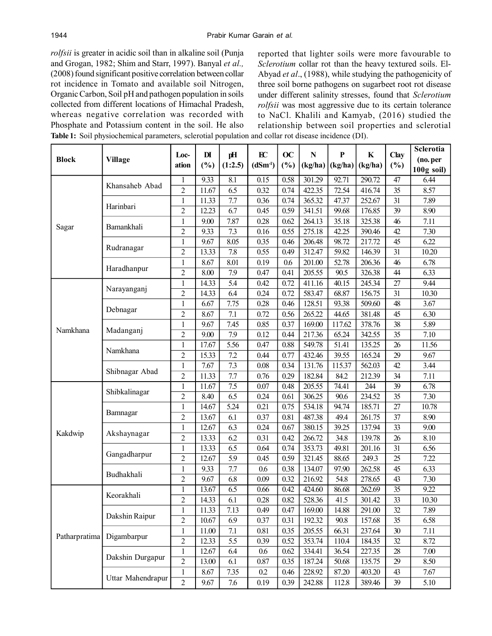*rolfsii* is greater in acidic soil than in alkaline soil (Punja and Grogan, 1982; Shim and Starr, 1997). Banyal *et al.,* (2008) found significant positive correlation between collar rot incidence in Tomato and available soil Nitrogen, Organic Carbon, Soil pH and pathogen population in soils collected from different locations of Himachal Pradesh, whereas negative correlation was recorded with Phosphate and Potassium content in the soil. He also **Table 1:** Soil physiochemical parameters, sclerotial population and collar rot disease incidence (DI).

reported that lighter soils were more favourable to *Sclerotium* collar rot than the heavy textured soils. El-Abyad *et al*., (1988), while studying the pathogenicity of three soil borne pathogens on sugarbeet root rot disease under different salinity stresses, found that *Sclerotium rolfsii* was most aggressive due to its certain tolerance to NaCl. Khalili and Kamyab, (2016) studied the relationship between soil properties and sclerotial

| <b>Block</b>  | <b>Village</b>                | Loc-<br>ation  | $\mathbf{D}$<br>(%) | pH<br>(1:2.5)    | EC<br>$(dSm-1)$ | OC<br>(%) | $\mathbf N$<br>(kg/ha) | $\mathbf{P}$<br>(kg/ha) | $\bf K$<br>(kg/ha) | Clay<br>(%)     | Sclerotia    |
|---------------|-------------------------------|----------------|---------------------|------------------|-----------------|-----------|------------------------|-------------------------|--------------------|-----------------|--------------|
|               |                               |                |                     |                  |                 |           |                        |                         |                    |                 | (no. per     |
|               |                               |                |                     |                  |                 |           |                        |                         |                    |                 | $100g$ soil) |
| Sagar         | Khansaheb Abad                | 1              | 9.33                | 8.1              | 0.15            | 0.58      | 301.29                 | 92.71                   | 290.72             | 47              | 6.44         |
|               |                               | $\overline{2}$ | 11.67               | 6.5              | 0.32            | 0.74      | 422.35                 | 72.54                   | 416.74             | 35              | 8.57         |
|               | Harinbari                     | $\mathbf{1}$   | 11.33               | 7.7              | 0.36            | 0.74      | 365.32                 | 47.37                   | 252.67             | 31              | 7.89         |
|               |                               | $\overline{2}$ | 12.23               | 6.7              | 0.45            | 0.59      | 341.51                 | 99.68                   | 176.85             | 39              | 8.90         |
|               | Bamankhali                    | $\mathbf{1}$   | 9.00                | 7.87             | 0.28            | 0.62      | 264.13                 | 35.18                   | 325.38             | 46              | 7.11         |
|               |                               | $\overline{2}$ | 9.33                | 7.3              | 0.16            | 0.55      | 275.18                 | 42.25                   | 390.46             | 42              | 7.30         |
|               | Rudranagar                    | $\mathbf 1$    | 9.67                | 8.05             | 0.35            | 0.46      | 206.48                 | 98.72                   | 217.72             | 45              | 6.22         |
|               |                               | $\overline{2}$ | 13.33               | 7.8              | 0.55            | 0.49      | 312.47                 | 59.82                   | 146.39             | 31              | 10.20        |
|               | Haradhanpur                   | 1              | 8.67                | 8.01             | 0.19            | 0.6       | 201.00                 | 52.78                   | 206.36             | 46              | 6.78         |
|               |                               | $\overline{2}$ | 8.00                | 7.9              | 0.47            | 0.41      | 205.55                 | 90.5                    | 326.38             | 44              | 6.33         |
| Namkhana      | Narayanganj                   | 1              | 14.33               | $\overline{5.4}$ | 0.42            | 0.72      | 411.16                 | 40.15                   | 245.34             | $\overline{27}$ | 9.44         |
|               |                               | $\overline{2}$ | 14.33               | 6.4              | 0.24            | 0.72      | 583.47                 | 68.87                   | 156.75             | 31              | 10.30        |
|               | Debnagar                      | $\mathbf{1}$   | 6.67                | 7.75             | 0.28            | 0.46      | 128.51                 | 93.38                   | 509.60             | 48              | 3.67         |
|               |                               | $\overline{2}$ | 8.67                | 7.1              | 0.72            | 0.56      | 265.22                 | 44.65                   | 381.48             | 45              | 6.30         |
|               | Madanganj                     | 1              | 9.67                | 7.45             | 0.85            | 0.37      | 169.00                 | 117.62                  | 378.76             | 38              | 5.89         |
|               |                               | $\overline{2}$ | 9.00                | 7.9              | 0.12            | 0.44      | 217.36                 | 65.24                   | 342.55             | 35              | 7.10         |
|               | Namkhana                      | $\mathbf{1}$   | 17.67               | 5.56             | 0.47            | 0.88      | 549.78                 | 51.41                   | 135.25             | 26              | 11.56        |
|               |                               | $\overline{2}$ | 15.33               | 7.2              | 0.44            | 0.77      | 432.46                 | 39.55                   | 165.24             | 29              | 9.67         |
|               | Shibnagar Abad                | 1              | 7.67                | 7.3              | 0.08            | 0.34      | 131.76                 | 115.37                  | 562.03             | 42              | 3.44         |
|               |                               | $\overline{2}$ | 11.33               | 7.7              | 0.76            | 0.29      | 182.84                 | 84.2                    | 212.39             | 34              | 7.11         |
| Kakdwip       | Shibkalinagar                 | 1              | 11.67               | 7.5              | 0.07            | 0.48      | 205.55                 | 74.41                   | 244                | $\overline{39}$ | 6.78         |
|               |                               | $\overline{2}$ | 8.40                | 6.5              | 0.24            | 0.61      | 306.25                 | 90.6                    | 234.52             | 35              | 7.30         |
|               | Bamnagar                      | 1              | 14.67               | 5.24             | 0.21            | 0.75      | 534.18                 | 94.74                   | 185.71             | 27              | 10.78        |
|               |                               | $\overline{2}$ | 13.67               | 6.1              | 0.37            | 0.81      | 487.38                 | 49.4                    | 261.75             | 37              | 8.90         |
|               | Akshaynagar                   | 1              | 12.67               | 6.3              | 0.24            | 0.67      | 380.15                 | 39.25                   | 137.94             | $\overline{33}$ | 9.00         |
|               |                               | $\overline{2}$ | 13.33               | 6.2              | 0.31            | 0.42      | 266.72                 | 34.8                    | 139.78             | 26              | 8.10         |
|               | Gangadharpur                  | $\mathbf{1}$   | 13.33               | 6.5              | 0.64            | 0.74      | 353.73                 | 49.81                   | 201.16             | 31              | 6.56         |
|               |                               | $\overline{2}$ | 12.67               | 5.9              | 0.45            | 0.59      | 321.45                 | 88.65                   | 249.3              | 25              | 7.22         |
|               | Budhakhali                    | $\mathbf{1}$   | 9.33                | 7.7              | 0.6             | 0.38      | 134.07                 | 97.90                   | 262.58             | 45              | 6.33         |
|               |                               | $\overline{2}$ | 9.67                | 6.8              | 0.09            | 0.32      | 216.92                 | 54.8                    | 278.65             | 43              | 7.30         |
| Patharpratima | Keorakhali                    | 1              | 13.67               | 6.5              | 0.66            | 0.42      | 424.60                 | 86.68                   | 262.69             | $\overline{35}$ | 9.22         |
|               |                               | $\overline{2}$ | 14.33               | 6.1              | 0.28            | 0.82      | 528.36                 | 41.5                    | 301.42             | 33              | 10.30        |
|               | Dakshin Raipur<br>Digambarpur | 1              | 11.33               | 7.13             | 0.49            | 0.47      | 169.00                 | 14.88                   | 291.00             | 32              | 7.89         |
|               |                               | $\overline{2}$ | 10.67               | 6.9              | 0.37            | 0.31      | 192.32                 | 90.8                    | 157.68             | 35              | 6.58         |
|               |                               | $\mathbf{1}$   | 11.00               | 7.1              | 0.81            | 0.35      | 205.55                 | 66.31                   | 237.64             | 30              | 7.11         |
|               |                               | $\overline{2}$ | 12.33               | 5.5              | 0.39            | 0.52      | 353.74                 | 110.4                   | 184.35             | 32              | 8.72         |
|               | Dakshin Durgapur              | 1              | 12.67               | 6.4              | 0.6             | 0.62      | 334.41                 | 36.54                   | 227.35             | $28\,$          | 7.00         |
|               |                               | $\overline{2}$ | 13.00               | 6.1              | 0.87            | 0.35      | 187.24                 | 50.68                   | 135.75             | 29              | 8.50         |
|               | Uttar Mahendrapur             | $\,1$          | 8.67                | 7.35             | 0.2             | 0.46      | 228.92                 | 87.20                   | 403.20             | 43              | 7.67         |
|               |                               | $\overline{2}$ | 9.67                | 7.6              | 0.19            | 0.39      | 242.88                 | 112.8                   | 389.46             | 39              | 5.10         |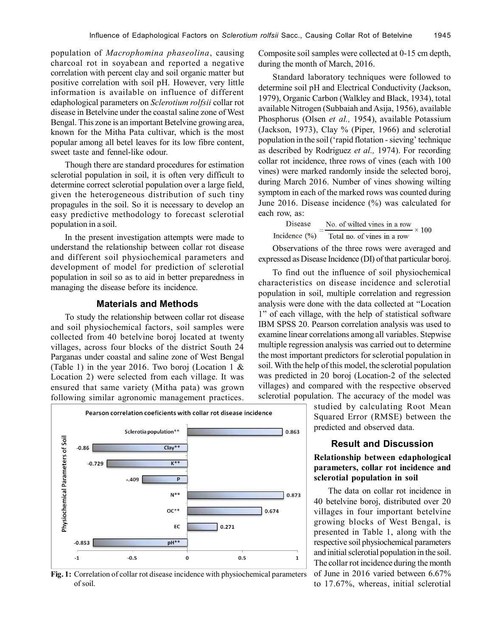population of *Macrophomina phaseolina*, causing charcoal rot in soyabean and reported a negative correlation with percent clay and soil organic matter but positive correlation with soil pH. However, very little information is available on influence of different edaphological parameters on *Sclerotium rolfsii* collar rot disease in Betelvine under the coastal saline zone of West Bengal. This zone is an important Betelvine growing area, known for the Mitha Pata cultivar, which is the most popular among all betel leaves for its low fibre content, sweet taste and fennel-like odour.

Though there are standard procedures for estimation sclerotial population in soil, it is often very difficult to determine correct sclerotial population over a large field, given the heterogeneous distribution of such tiny propagules in the soil. So it is necessary to develop an easy predictive methodology to forecast sclerotial population in a soil.

In the present investigation attempts were made to understand the relationship between collar rot disease and different soil physiochemical parameters and development of model for prediction of sclerotial population in soil so as to aid in better preparedness in managing the disease before its incidence.

# **Materials and Methods**

To study the relationship between collar rot disease and soil physiochemical factors, soil samples were collected from 40 betelvine boroj located at twenty villages, across four blocks of the district South 24 Parganas under coastal and saline zone of West Bengal (Table 1) in the year 2016. Two boroj (Location 1  $\&$ Location 2) were selected from each village. It was ensured that same variety (Mitha pata) was grown following similar agronomic management practices.



**Fig. 1:** Correlation of collar rot disease incidence with physiochemical parameters of soil.

Composite soil samples were collected at 0-15 cm depth, during the month of March, 2016.

Standard laboratory techniques were followed to determine soil pH and Electrical Conductivity (Jackson, 1979), Organic Carbon (Walkley and Black, 1934), total available Nitrogen (Subbaiah and Asija, 1956), available Phosphorus (Olsen *et al.,* 1954), available Potassium (Jackson, 1973), Clay % (Piper, 1966) and sclerotial population in the soil ('rapid flotation - sieving' technique as described by Rodriguez *et al.,* 1974). For recording collar rot incidence, three rows of vines (each with 100 vines) were marked randomly inside the selected boroj, during March 2016. Number of vines showing wilting symptom in each of the marked rows was counted during June 2016. Disease incidence (%) was calculated for each row, as:

**Disease** No. of wilted vines in a row  $- \times 100$ Incidence  $(\%)$  Total no. of vines in a row

Observations of the three rows were averaged and expressed as Disease Incidence (DI) of that particular boroj.

To find out the influence of soil physiochemical characteristics on disease incidence and sclerotial population in soil, multiple correlation and regression analysis were done with the data collected at "Location 1" of each village, with the help of statistical software IBM SPSS 20. Pearson correlation analysis was used to examine linear correlations among all variables. Stepwise multiple regression analysis was carried out to determine the most important predictors for sclerotial population in soil. With the help of this model, the sclerotial population was predicted in 20 boroj (Location-2 of the selected villages) and compared with the respective observed sclerotial population. The accuracy of the model was

> studied by calculating Root Mean Squared Error (RMSE) between the predicted and observed data.

# **Result and Discussion**

# **Relationship between edaphological parameters, collar rot incidence and sclerotial population in soil**

The data on collar rot incidence in 40 betelvine boroj, distributed over 20 villages in four important betelvine growing blocks of West Bengal, is presented in Table 1, along with the respective soil physiochemical parameters and initial sclerotial population in the soil. The collar rot incidence during the month of June in 2016 varied between 6.67% to 17.67%, whereas, initial sclerotial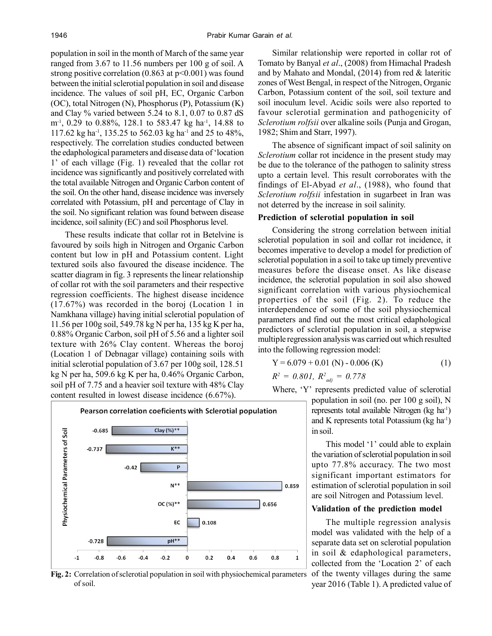population in soil in the month of March of the same year ranged from 3.67 to 11.56 numbers per 100 g of soil. A strong positive correlation  $(0.863 \text{ at } p<0.001)$  was found between the initial sclerotial population in soil and disease incidence. The values of soil pH, EC, Organic Carbon (OC), total Nitrogen (N), Phosphorus (P), Potassium (K) and Clay % varied between 5.24 to 8.1, 0.07 to 0.87 dS m-1, 0.29 to 0.88%, 128.1 to 583.47 kg ha-1, 14.88 to 117.62 kg ha-1, 135.25 to 562.03 kg ha-1 and 25 to 48%, respectively. The correlation studies conducted between the edaphological parameters and disease data of 'location 1' of each village (Fig. 1) revealed that the collar rot incidence was significantly and positively correlated with the total available Nitrogen and Organic Carbon content of the soil. On the other hand, disease incidence was inversely correlated with Potassium, pH and percentage of Clay in the soil. No significant relation was found between disease incidence, soil salinity (EC) and soil Phosphorus level.

These results indicate that collar rot in Betelvine is favoured by soils high in Nitrogen and Organic Carbon content but low in pH and Potassium content. Light textured soils also favoured the disease incidence. The scatter diagram in fig. 3 represents the linear relationship of collar rot with the soil parameters and their respective regression coefficients. The highest disease incidence (17.67%) was recorded in the boroj (Location 1 in Namkhana village) having initial sclerotial population of 11.56 per 100g soil, 549.78 kg N per ha, 135 kg K per ha, 0.88% Organic Carbon, soil pH of 5.56 and a lighter soil texture with 26% Clay content. Whereas the boroj (Location 1 of Debnagar village) containing soils with initial sclerotial population of 3.67 per 100g soil, 128.51 kg N per ha, 509.6 kg K per ha, 0.46% Organic Carbon, soil pH of 7.75 and a heavier soil texture with 48% Clay content resulted in lowest disease incidence (6.67%).

Pearson correlation coeficients with Sclerotial population Clay  $(%)**$ Physiochemical Parameters of Soil  $-0.685$  $K^{**}$  $-0.737$  $-0.42$  $\overline{P}$  $N^*$ 0.859 OC(%)\*\* 0.656 0.108 EC  $-0.728$  $pH**$  $-1$  $-0.8$  $-0.6$  $-0.4$  $-0.2$  $\mathbf 0$  $0.2$  $0.4$  $0.6$  $0.8$  $\mathbf{1}$ 

**Fig. 2:** Correlation of sclerotial population in soil with physiochemical parameters of the twenty villages during the same of soil.

Similar relationship were reported in collar rot of Tomato by Banyal *et al*., (2008) from Himachal Pradesh and by Mahato and Mondal, (2014) from red & lateritic zones of West Bengal, in respect of the Nitrogen, Organic Carbon, Potassium content of the soil, soil texture and soil inoculum level. Acidic soils were also reported to favour sclerotial germination and pathogenicity of *Sclerotium rolfsii* over alkaline soils (Punja and Grogan, 1982; Shim and Starr, 1997).

The absence of significant impact of soil salinity on *Sclerotium* collar rot incidence in the present study may be due to the tolerance of the pathogen to salinity stress upto a certain level. This result corroborates with the findings of El-Abyad *et al*., (1988), who found that *Sclerotium rolfsii* infestation in sugarbeet in Iran was not deterred by the increase in soil salinity.

#### **Prediction of sclerotial population in soil**

Considering the strong correlation between initial sclerotial population in soil and collar rot incidence, it becomes imperative to develop a model for prediction of sclerotial population in a soil to take up timely preventive measures before the disease onset. As like disease incidence, the sclerotial population in soil also showed significant correlation with various physiochemical properties of the soil (Fig. 2). To reduce the interdependence of some of the soil physiochemical parameters and find out the most critical edaphological predictors of sclerotial population in soil, a stepwise multiple regression analysis was carried out which resulted into the following regression model:

$$
Y = 6.079 + 0.01 (N) - 0.006 (K)
$$
 (1)

 $R^2 = 0.801, R^2_{adj} = 0.778$ 

Where, 'Y' represents predicted value of sclerotial population in soil (no. per 100 g soil), N represents total available Nitrogen (kg ha-1) and K represents total Potassium ( $kg \text{ ha}^{-1}$ ) in soil.

> This model '1' could able to explain the variation of sclerotial population in soil upto 77.8% accuracy. The two most significant important estimators for estimation of sclerotial population in soil are soil Nitrogen and Potassium level.

#### **Validation of the prediction model**

The multiple regression analysis model was validated with the help of a separate data set on sclerotial population in soil & edaphological parameters, collected from the 'Location 2' of each year 2016 (Table 1). A predicted value of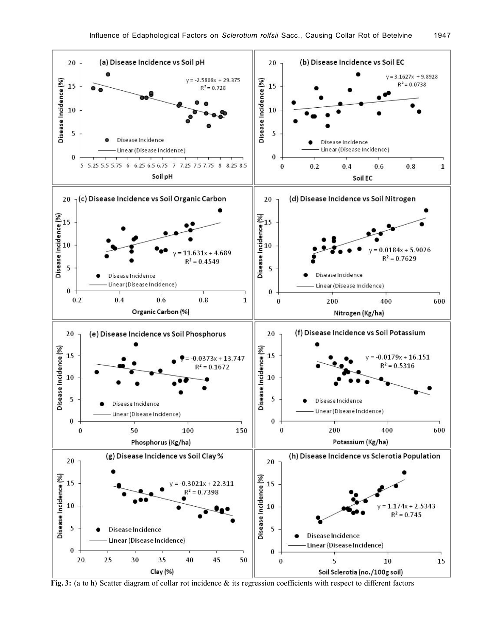

**Fig. 3:** (a to h) Scatter diagram of collar rot incidence & its regression coefficients with respect to different factors